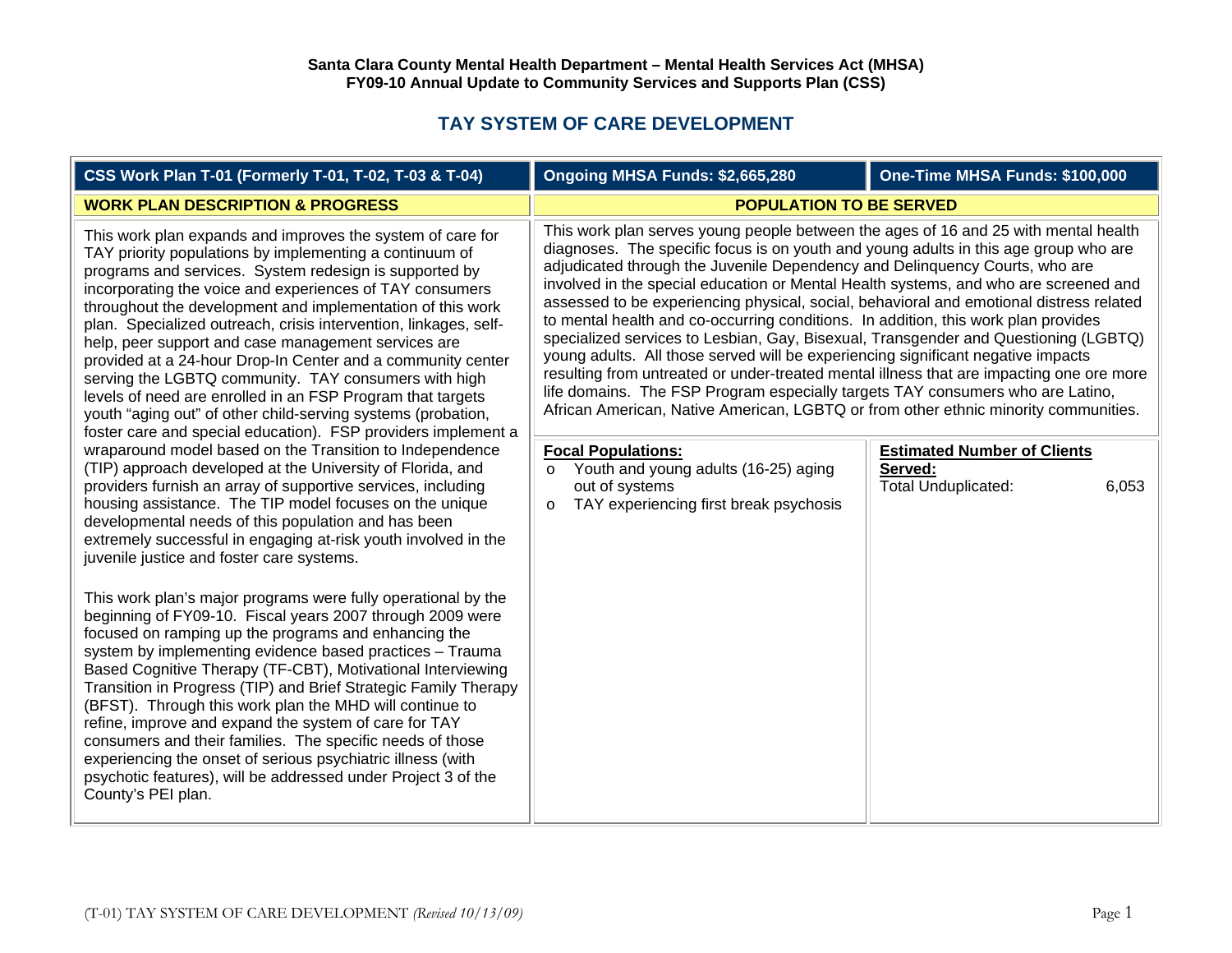## **TAY SYSTEM OF CARE DEVELOPMENT**

| CSS Work Plan T-01 (Formerly T-01, T-02, T-03 & T-04)                                                                                                                                                                                                                                                                                                                                                                                                                                                                                                                                                                                                                                                                                                                                                                                                                                                                                                                                                                                                                                                                                                                                 | Ongoing MHSA Funds: \$2,665,280                                                                                                                                                                                                                                                                                                                                                                                                                                                                                                                                                                                                                                                                                                                                                                                                                                                                                                                                                                                                                                                                                                                                              | One-Time MHSA Funds: \$100,000              |
|---------------------------------------------------------------------------------------------------------------------------------------------------------------------------------------------------------------------------------------------------------------------------------------------------------------------------------------------------------------------------------------------------------------------------------------------------------------------------------------------------------------------------------------------------------------------------------------------------------------------------------------------------------------------------------------------------------------------------------------------------------------------------------------------------------------------------------------------------------------------------------------------------------------------------------------------------------------------------------------------------------------------------------------------------------------------------------------------------------------------------------------------------------------------------------------|------------------------------------------------------------------------------------------------------------------------------------------------------------------------------------------------------------------------------------------------------------------------------------------------------------------------------------------------------------------------------------------------------------------------------------------------------------------------------------------------------------------------------------------------------------------------------------------------------------------------------------------------------------------------------------------------------------------------------------------------------------------------------------------------------------------------------------------------------------------------------------------------------------------------------------------------------------------------------------------------------------------------------------------------------------------------------------------------------------------------------------------------------------------------------|---------------------------------------------|
| <b>WORK PLAN DESCRIPTION &amp; PROGRESS</b>                                                                                                                                                                                                                                                                                                                                                                                                                                                                                                                                                                                                                                                                                                                                                                                                                                                                                                                                                                                                                                                                                                                                           | <b>POPULATION TO BE SERVED</b>                                                                                                                                                                                                                                                                                                                                                                                                                                                                                                                                                                                                                                                                                                                                                                                                                                                                                                                                                                                                                                                                                                                                               |                                             |
| This work plan expands and improves the system of care for<br>TAY priority populations by implementing a continuum of<br>programs and services. System redesign is supported by<br>incorporating the voice and experiences of TAY consumers<br>throughout the development and implementation of this work<br>plan. Specialized outreach, crisis intervention, linkages, self-<br>help, peer support and case management services are<br>provided at a 24-hour Drop-In Center and a community center<br>serving the LGBTQ community. TAY consumers with high<br>levels of need are enrolled in an FSP Program that targets<br>youth "aging out" of other child-serving systems (probation,<br>foster care and special education). FSP providers implement a<br>wraparound model based on the Transition to Independence<br>(TIP) approach developed at the University of Florida, and<br>providers furnish an array of supportive services, including<br>housing assistance. The TIP model focuses on the unique<br>developmental needs of this population and has been<br>extremely successful in engaging at-risk youth involved in the<br>juvenile justice and foster care systems. | This work plan serves young people between the ages of 16 and 25 with mental health<br>diagnoses. The specific focus is on youth and young adults in this age group who are<br>adjudicated through the Juvenile Dependency and Delinquency Courts, who are<br>involved in the special education or Mental Health systems, and who are screened and<br>assessed to be experiencing physical, social, behavioral and emotional distress related<br>to mental health and co-occurring conditions. In addition, this work plan provides<br>specialized services to Lesbian, Gay, Bisexual, Transgender and Questioning (LGBTQ)<br>young adults. All those served will be experiencing significant negative impacts<br>resulting from untreated or under-treated mental illness that are impacting one ore more<br>life domains. The FSP Program especially targets TAY consumers who are Latino,<br>African American, Native American, LGBTQ or from other ethnic minority communities.<br><b>Focal Populations:</b><br>Served:<br>Youth and young adults (16-25) aging<br>$\circ$<br>Total Unduplicated:<br>out of systems<br>TAY experiencing first break psychosis<br>$\circ$ | <b>Estimated Number of Clients</b><br>6,053 |
| This work plan's major programs were fully operational by the<br>beginning of FY09-10. Fiscal years 2007 through 2009 were<br>focused on ramping up the programs and enhancing the<br>system by implementing evidence based practices - Trauma<br>Based Cognitive Therapy (TF-CBT), Motivational Interviewing<br>Transition in Progress (TIP) and Brief Strategic Family Therapy<br>(BFST). Through this work plan the MHD will continue to<br>refine, improve and expand the system of care for TAY<br>consumers and their families. The specific needs of those<br>experiencing the onset of serious psychiatric illness (with<br>psychotic features), will be addressed under Project 3 of the<br>County's PEI plan.                                                                                                                                                                                                                                                                                                                                                                                                                                                               |                                                                                                                                                                                                                                                                                                                                                                                                                                                                                                                                                                                                                                                                                                                                                                                                                                                                                                                                                                                                                                                                                                                                                                              |                                             |